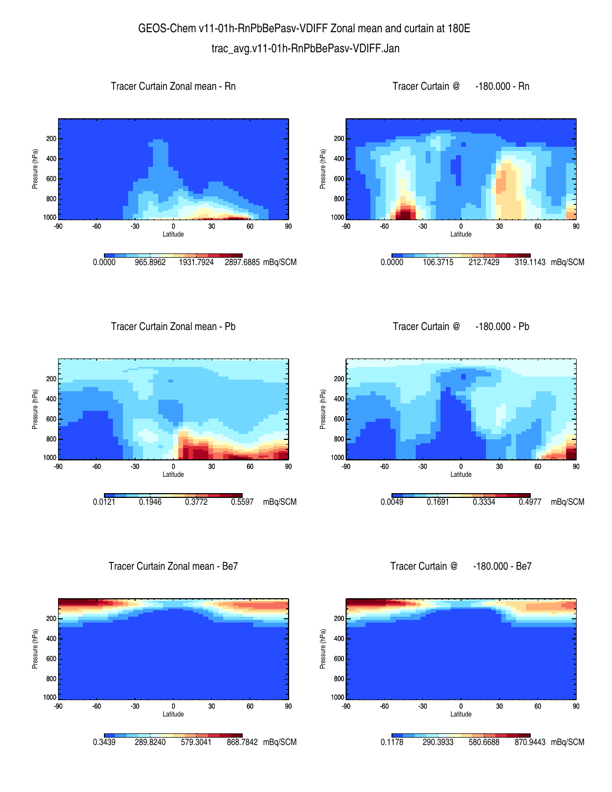## GEOS-Chem v11-01h-RnPbBePasv-VDIFF Zonal mean and curtain at 180E trac\_avg.v11-01h-RnPbBePasv-VDIFF.Jan

200

Pressure (hPa)

Pressure (hPa)









Tracer Curtain Zonal mean - Pb

Tracer Curtain @ -180.000 - Pb



Tracer Curtain Zonal mean - Be7



-90 -60 -30 0 30 60 90 Latitude 1000 <mark>L</mark><br>-90 800 600 400 0.0049 0.1691 0.3334 0.4977 mBq/SCM

Tracer Curtain @ -180.000 - Be7